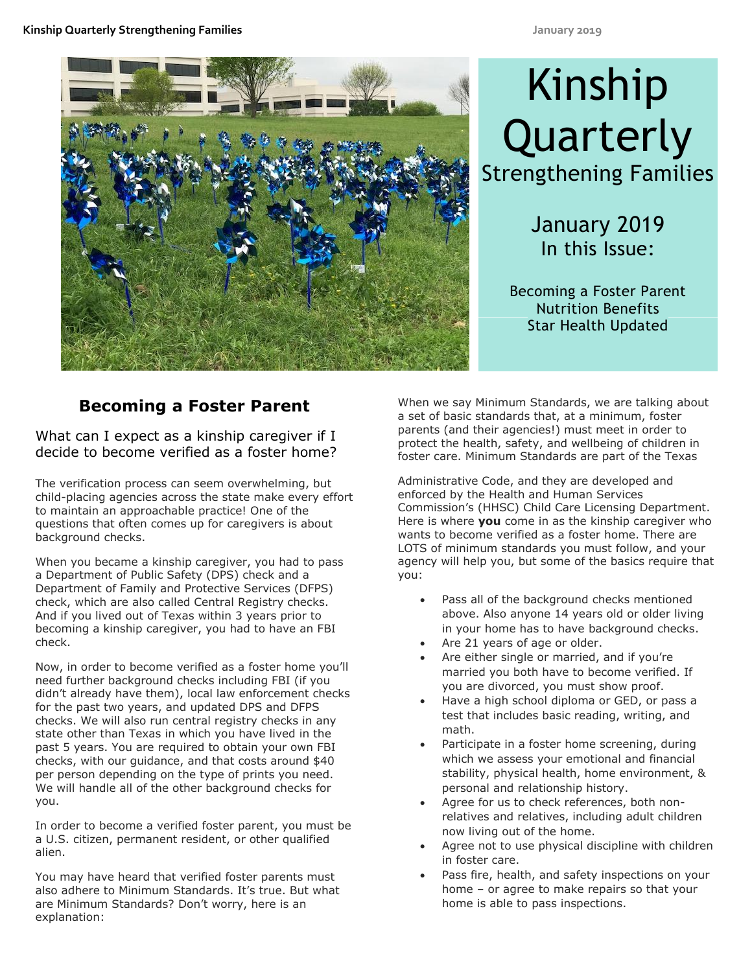

# Kinship **Quarterly** Strengthening Families

January 2019 In this Issue:

Becoming a Foster Parent Nutrition Benefits Star Health Updated

# **Becoming a Foster Parent**

What can I expect as a kinship caregiver if I decide to become verified as a foster home?

The verification process can seem overwhelming, but child-placing agencies across the state make every effort to maintain an approachable practice! One of the questions that often comes up for caregivers is about background checks.

When you became a kinship caregiver, you had to pass a Department of Public Safety (DPS) check and a Department of Family and Protective Services (DFPS) check, which are also called Central Registry checks. And if you lived out of Texas within 3 years prior to becoming a kinship caregiver, you had to have an FBI check.

Now, in order to become verified as a foster home you'll need further background checks including FBI (if you didn't already have them), local law enforcement checks for the past two years, and updated DPS and DFPS checks. We will also run central registry checks in any state other than Texas in which you have lived in the past 5 years. You are required to obtain your own FBI checks, with our guidance, and that costs around \$40 per person depending on the type of prints you need. We will handle all of the other background checks for you.

In order to become a verified foster parent, you must be a U.S. citizen, permanent resident, or other qualified alien.

You may have heard that verified foster parents must also adhere to Minimum Standards. It's true. But what are Minimum Standards? Don't worry, here is an explanation:

When we say Minimum Standards, we are talking about a set of basic standards that, at a minimum, foster parents (and their agencies!) must meet in order to protect the health, safety, and wellbeing of children in foster care. Minimum Standards are part of the Texas

Administrative Code, and they are developed and enforced by the Health and Human Services Commission's (HHSC) Child Care Licensing Department. Here is where **you** come in as the kinship caregiver who wants to become verified as a foster home. There are LOTS of minimum standards you must follow, and your agency will help you, but some of the basics require that you:

- Pass all of the background checks mentioned above. Also anyone 14 years old or older living in your home has to have background checks.
- Are 21 years of age or older.
- Are either single or married, and if you're married you both have to become verified. If you are divorced, you must show proof.
- Have a high school diploma or GED, or pass a test that includes basic reading, writing, and math.
- Participate in a foster home screening, during which we assess your emotional and financial stability, physical health, home environment, & personal and relationship history.
- Agree for us to check references, both nonrelatives and relatives, including adult children now living out of the home.
- Agree not to use physical discipline with children in foster care.
- Pass fire, health, and safety inspections on your home – or agree to make repairs so that your home is able to pass inspections.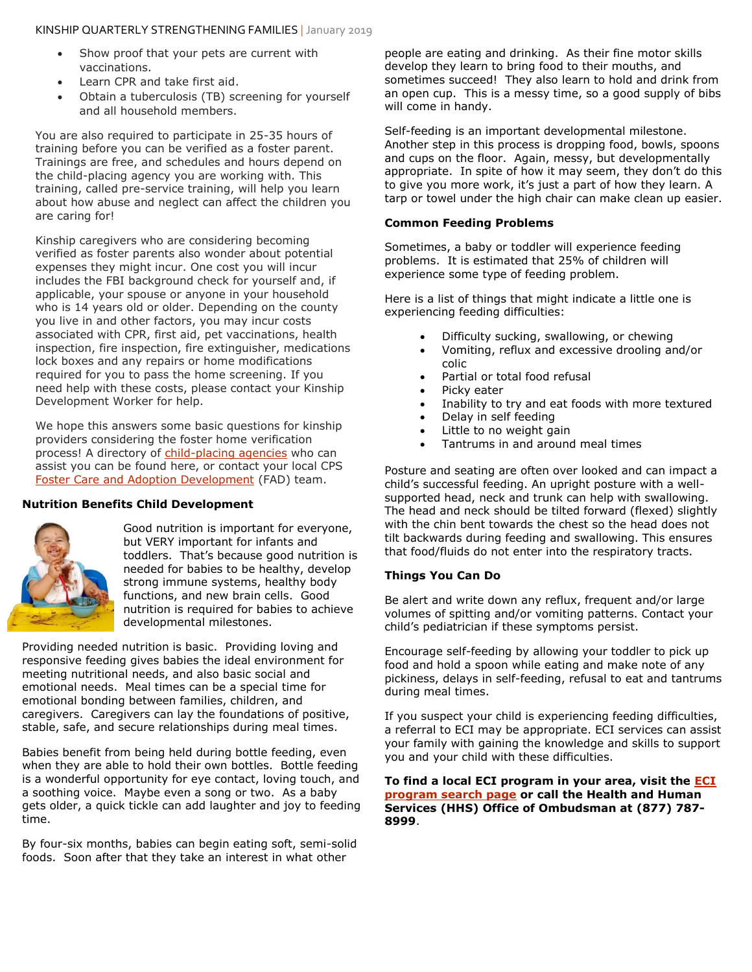- Show proof that your pets are current with vaccinations.
- Learn CPR and take first aid.
- Obtain a tuberculosis (TB) screening for yourself and all household members.

You are also required to participate in 25-35 hours of training before you can be verified as a foster parent. Trainings are free, and schedules and hours depend on the child-placing agency you are working with. This training, called pre-service training, will help you learn about how abuse and neglect can affect the children you are caring for!

Kinship caregivers who are considering becoming verified as foster parents also wonder about potential expenses they might incur. One cost you will incur includes the FBI background check for yourself and, if applicable, your spouse or anyone in your household who is 14 years old or older. Depending on the county you live in and other factors, you may incur costs associated with CPR, first aid, pet vaccinations, health inspection, fire inspection, fire extinguisher, medications lock boxes and any repairs or home modifications required for you to pass the home screening. If you need help with these costs, please contact your Kinship Development Worker for help.

We hope this answers some basic questions for kinship providers considering the foster home verification process! A directory of [child-placing agencies](https://www.dfps.state.tx.us/Child_Care/Search_Texas_Child_Care/ppFacilitySearchFoster.asp) who can assist you can be found here, or contact your local CPS [Foster Care and Adoption Development](https://www.dfps.state.tx.us/Adoption_and_Foster_Care/About_TARE/Foster_Care/default.asp) (FAD) team.

#### **Nutrition Benefits Child Development**



Good nutrition is important for everyone, but VERY important for infants and toddlers. That's because good nutrition is needed for babies to be healthy, develop strong immune systems, healthy body functions, and new brain cells. Good nutrition is required for babies to achieve developmental milestones.

Providing needed nutrition is basic. Providing loving and responsive feeding gives babies the ideal environment for meeting nutritional needs, and also basic social and emotional needs. Meal times can be a special time for emotional bonding between families, children, and caregivers. Caregivers can lay the foundations of positive, stable, safe, and secure relationships during meal times.

Babies benefit from being held during bottle feeding, even when they are able to hold their own bottles. Bottle feeding is a wonderful opportunity for eye contact, loving touch, and a soothing voice. Maybe even a song or two. As a baby gets older, a quick tickle can add laughter and joy to feeding time.

By four-six months, babies can begin eating soft, semi-solid foods. Soon after that they take an interest in what other

people are eating and drinking. As their fine motor skills develop they learn to bring food to their mouths, and sometimes succeed! They also learn to hold and drink from an open cup. This is a messy time, so a good supply of bibs will come in handy.

Self-feeding is an important developmental milestone. Another step in this process is dropping food, bowls, spoons and cups on the floor. Again, messy, but developmentally appropriate. In spite of how it may seem, they don't do this to give you more work, it's just a part of how they learn. A tarp or towel under the high chair can make clean up easier.

#### **Common Feeding Problems**

Sometimes, a baby or toddler will experience feeding problems. It is estimated that 25% of children will experience some type of feeding problem.

Here is a list of things that might indicate a little one is experiencing feeding difficulties:

- Difficulty sucking, swallowing, or chewing
- Vomiting, reflux and excessive drooling and/or colic
- Partial or total food refusal
- Picky eater
- Inability to try and eat foods with more textured
- Delay in self feeding
- Little to no weight gain
- Tantrums in and around meal times

Posture and seating are often over looked and can impact a child's successful feeding. An upright posture with a wellsupported head, neck and trunk can help with swallowing. The head and neck should be tilted forward (flexed) slightly with the chin bent towards the chest so the head does not tilt backwards during feeding and swallowing. This ensures that food/fluids do not enter into the respiratory tracts.

#### **Things You Can Do**

Be alert and write down any reflux, frequent and/or large volumes of spitting and/or vomiting patterns. Contact your child's pediatrician if these symptoms persist.

Encourage self-feeding by allowing your toddler to pick up food and hold a spoon while eating and make note of any pickiness, delays in self-feeding, refusal to eat and tantrums during meal times.

If you suspect your child is experiencing feeding difficulties, a referral to ECI may be appropriate. ECI services can assist your family with gaining the knowledge and skills to support you and your child with these difficulties.

**To find a local ECI program in your area, visit the [ECI](https://citysearch.hhsc.state.tx.us/)  [program search page](https://citysearch.hhsc.state.tx.us/) or call the Health and Human Services (HHS) Office of Ombudsman at (877) 787- 8999**.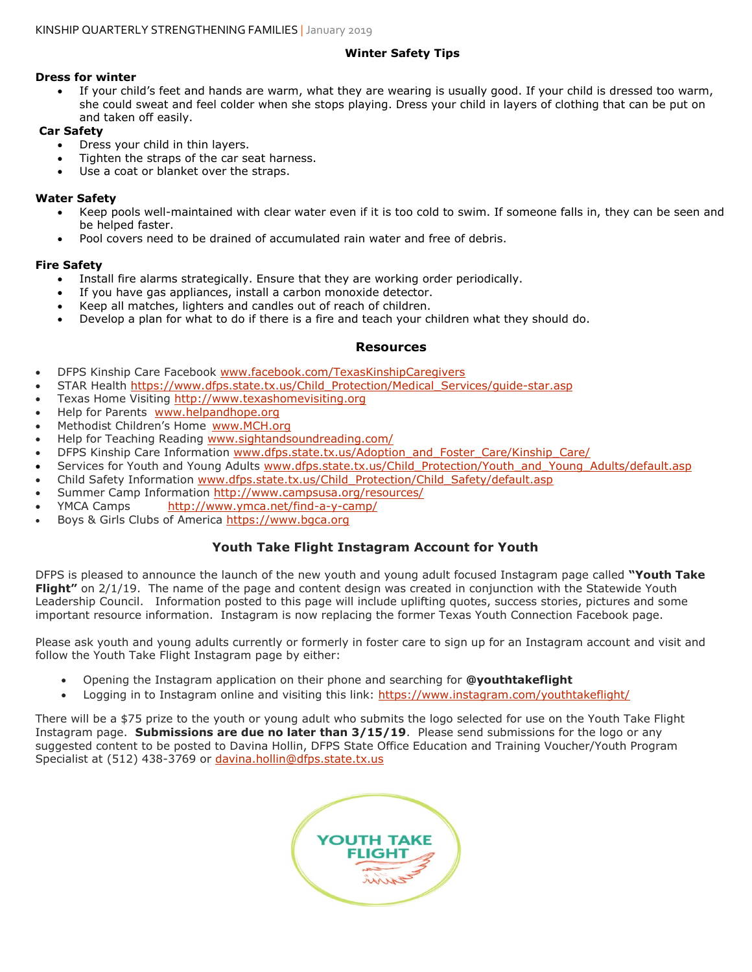### **Winter Safety Tips**

#### **Dress for winter**

 If your child's feet and hands are warm, what they are wearing is usually good. If your child is dressed too warm, she could sweat and feel colder when she stops playing. Dress your child in layers of clothing that can be put on and taken off easily.

#### **Car Safety**

- Dress your child in thin layers.
- Tighten the straps of the car seat harness.
- Use a coat or blanket over the straps.

#### **Water Safety**

- Keep pools well-maintained with clear water even if it is too cold to swim. If someone falls in, they can be seen and be helped faster.
- Pool covers need to be drained of accumulated rain water and free of debris.

#### **Fire Safety**

- Install fire alarms strategically. Ensure that they are working order periodically.
- If you have gas appliances, install a carbon monoxide detector.
- Keep all matches, lighters and candles out of reach of children.
- Develop a plan for what to do if there is a fire and teach your children what they should do.

#### **Resources**

- DFPS Kinship Care Facebook [www.facebook.com/TexasKinshipCaregivers](http://www.facebook.com/TexasKinshipCaregivers)
- STAR Health [https://www.dfps.state.tx.us/Child\\_Protection/Medical\\_Services/guide-star.asp](https://www.dfps.state.tx.us/Child_Protection/Medical_Services/guide-star.asp)
- Texas Home Visiting [http://www.texashomevisiting.org](http://www.texashomevisiting.org/)
- Help for Parents [www.helpandhope.org](http://www.helpandhope.org/)
- Methodist Children's Home [www.MCH.org](http://www.mch.org/)
- Help for Teaching Reading [www.sightandsoundreading.com/](http://www.sightandsoundreading.com/)
- DFPS Kinship Care Information [www.dfps.state.tx.us/Adoption\\_and\\_Foster\\_Care/Kinship\\_Care/](http://www.dfps.state.tx.us/Adoption_and_Foster_Care/Kinship_Care/)
- Services for Youth and Young Adults [www.dfps.state.tx.us/Child\\_Protection/Youth\\_and\\_Young\\_Adults/default.asp](http://www.dfps.state.tx.us/Child_Protection/Youth_and_Young_Adults/default.asp)
- Child Safety Information [www.dfps.state.tx.us/Child\\_Protection/Child\\_Safety/default.asp](http://www.dfps.state.tx.us/Child_Protection/Child_Safety/default.asp)
- Summer Camp Information<http://www.campsusa.org/resources/>
- YMCA Camps <http://www.ymca.net/find-a-y-camp/>
- Boys & Girls Clubs of America [https://www.bgca.org](https://www.bgca.org/)

## **Youth Take Flight Instagram Account for Youth**

DFPS is pleased to announce the launch of the new youth and young adult focused Instagram page called **"Youth Take Flight"** on 2/1/19. The name of the page and content design was created in conjunction with the Statewide Youth Leadership Council. Information posted to this page will include uplifting quotes, success stories, pictures and some important resource information. Instagram is now replacing the former Texas Youth Connection Facebook page.

Please ask youth and young adults currently or formerly in foster care to sign up for an Instagram account and visit and follow the Youth Take Flight Instagram page by either:

- Opening the Instagram application on their phone and searching for **@youthtakeflight**
- Logging in to Instagram online and visiting this link:<https://www.instagram.com/youthtakeflight/>

There will be a \$75 prize to the youth or young adult who submits the logo selected for use on the Youth Take Flight Instagram page. **Submissions are due no later than 3/15/19**. Please send submissions for the logo or any suggested content to be posted to Davina Hollin, DFPS State Office Education and Training Voucher/Youth Program Specialist at (512) 438-3769 or [davina.hollin@dfps.state.tx.us](mailto:davina.hollin@dfps.state.tx.us)